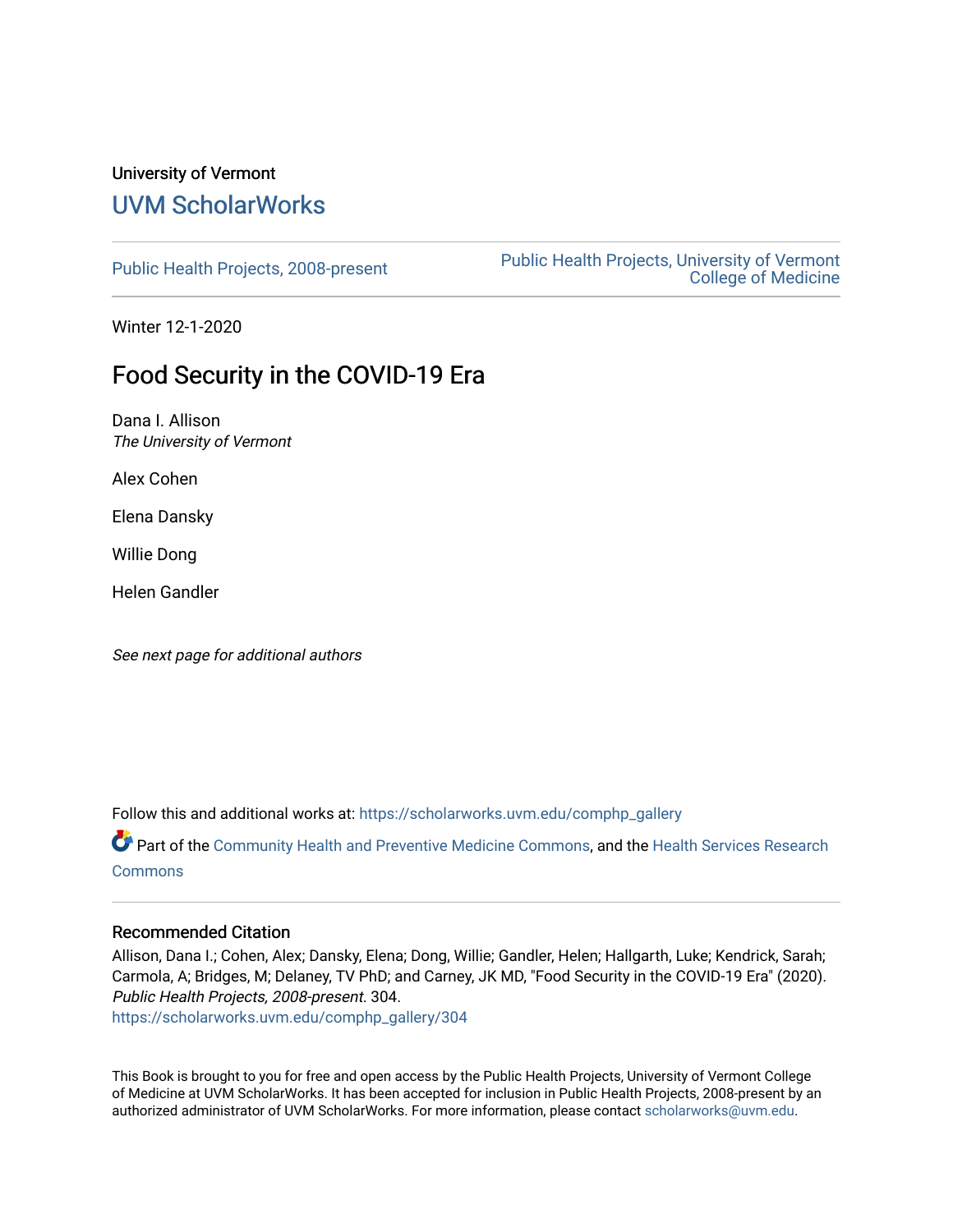### University of Vermont [UVM ScholarWorks](https://scholarworks.uvm.edu/)

[Public Health Projects, 2008-present](https://scholarworks.uvm.edu/comphp_gallery) Public Health Projects, University of Vermont [College of Medicine](https://scholarworks.uvm.edu/comphp) 

Winter 12-1-2020

## Food Security in the COVID-19 Era

Dana I. Allison The University of Vermont

Alex Cohen

Elena Dansky

Willie Dong

Helen Gandler

See next page for additional authors

Follow this and additional works at: [https://scholarworks.uvm.edu/comphp\\_gallery](https://scholarworks.uvm.edu/comphp_gallery?utm_source=scholarworks.uvm.edu%2Fcomphp_gallery%2F304&utm_medium=PDF&utm_campaign=PDFCoverPages)

Part of the [Community Health and Preventive Medicine Commons](http://network.bepress.com/hgg/discipline/744?utm_source=scholarworks.uvm.edu%2Fcomphp_gallery%2F304&utm_medium=PDF&utm_campaign=PDFCoverPages), and the [Health Services Research](http://network.bepress.com/hgg/discipline/816?utm_source=scholarworks.uvm.edu%2Fcomphp_gallery%2F304&utm_medium=PDF&utm_campaign=PDFCoverPages) **[Commons](http://network.bepress.com/hgg/discipline/816?utm_source=scholarworks.uvm.edu%2Fcomphp_gallery%2F304&utm_medium=PDF&utm_campaign=PDFCoverPages)** 

### Recommended Citation

Allison, Dana I.; Cohen, Alex; Dansky, Elena; Dong, Willie; Gandler, Helen; Hallgarth, Luke; Kendrick, Sarah; Carmola, A; Bridges, M; Delaney, TV PhD; and Carney, JK MD, "Food Security in the COVID-19 Era" (2020). Public Health Projects, 2008-present. 304.

[https://scholarworks.uvm.edu/comphp\\_gallery/304](https://scholarworks.uvm.edu/comphp_gallery/304?utm_source=scholarworks.uvm.edu%2Fcomphp_gallery%2F304&utm_medium=PDF&utm_campaign=PDFCoverPages)

This Book is brought to you for free and open access by the Public Health Projects, University of Vermont College of Medicine at UVM ScholarWorks. It has been accepted for inclusion in Public Health Projects, 2008-present by an authorized administrator of UVM ScholarWorks. For more information, please contact [scholarworks@uvm.edu.](mailto:scholarworks@uvm.edu)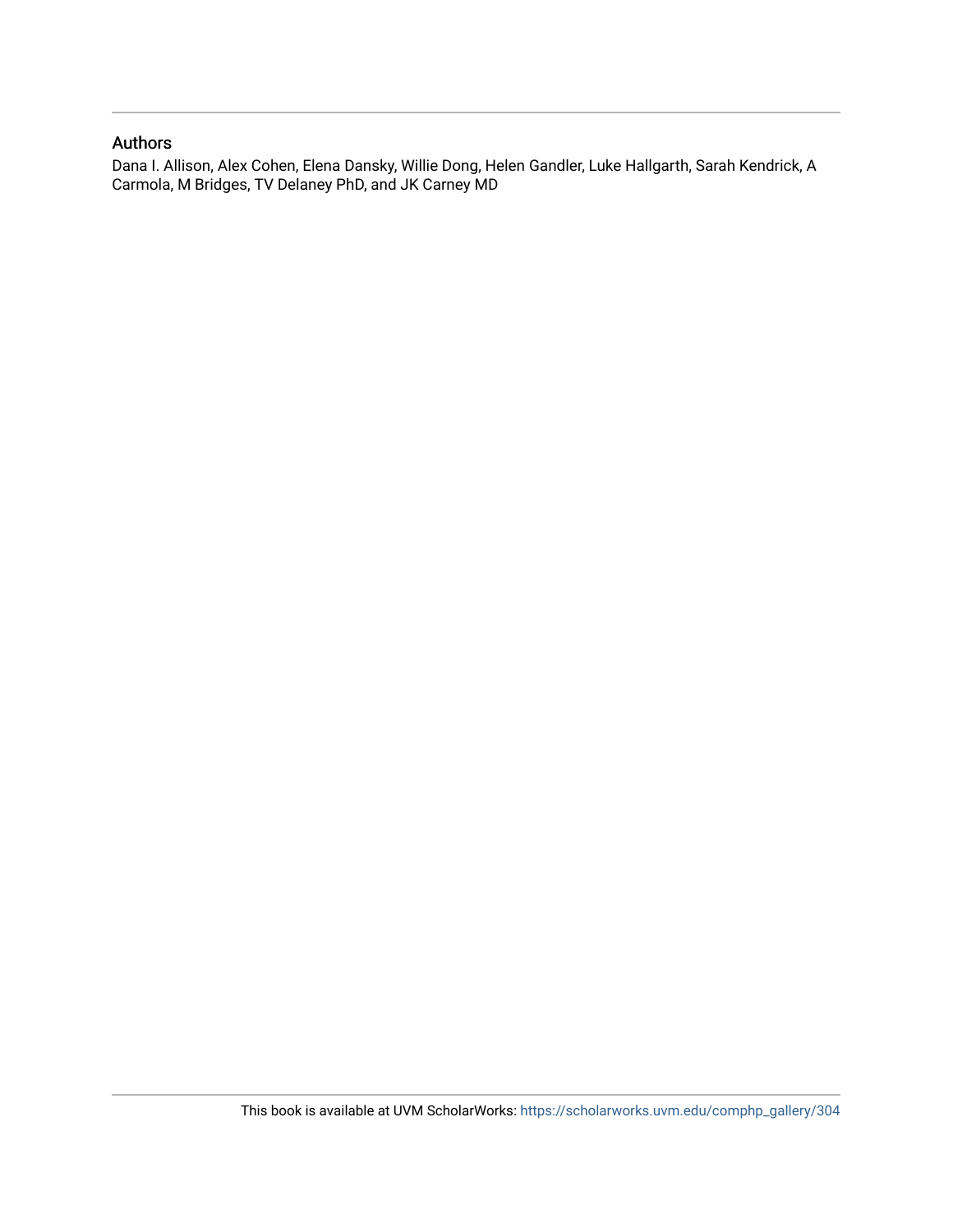### Authors

Dana I. Allison, Alex Cohen, Elena Dansky, Willie Dong, Helen Gandler, Luke Hallgarth, Sarah Kendrick, A Carmola, M Bridges, TV Delaney PhD, and JK Carney MD